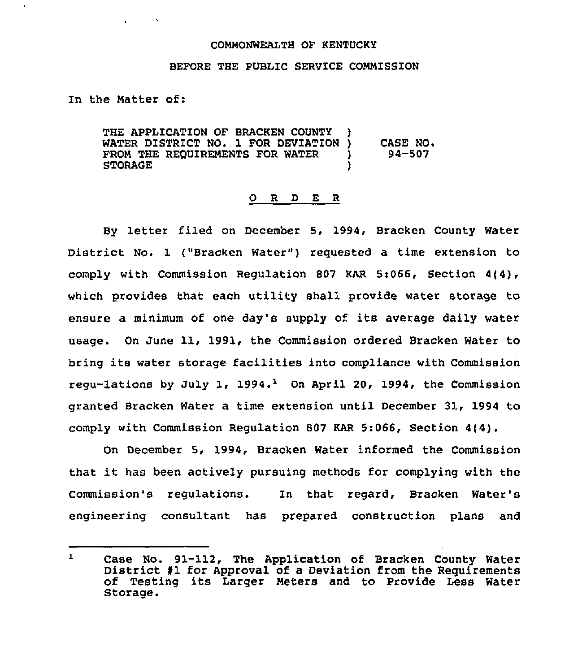## COMMONWEALTH OF KENTUCKY

## BEFORE THE PUBLIC SERVICE COMMISSION

In the Matter of:

THE APPLICATION OF BRACKEN COUNTY ) WATER DISTRICT NO. 1 FOR DEVIATION )<br>FROM THE REOUIREMENTS FOR WATER FROM THE REQUIREMENTS FOR WATER )<br>STORAGE STORAGE ) CASE NO. 94-507

## 0 <sup>R</sup> <sup>D</sup> E <sup>R</sup>

By letter filed on December 5, 1994, Bracken County Water District No. 1 ("Bracken Water") requested a time extension to comply with Commission Regulation 807 KAR 5:066, Section 4(4), which provides that each utility shall provide water storage to ensure a minimum of one day's supply of its average daily water usage. On June 11, 1991, the Commission ordered Bracken Water to bring its water storage facilities into compliance with Commission regu-lations by July 1, 1994.<sup>1</sup> On April 20, 1994, the Commission granted Bracken Water a time extension until December 31, 1994 to comply with Commission Regulation 807 KAR 5:066, Section 4(4).

On December 5, 1994, Bracken Water informed the Commission that it has been actively pursuing methods for complying with the Commission's regulations. In that regard, Bracken Water' engineering consultant has prepared construction plans and

 $\mathbf{1}$ Case No. 91-112, The Application of Bracken County Water<br>District #1 for Approval of a Deviation from the Requirements<br>of Testing its Larger Meters and to Provide Less Water Storage.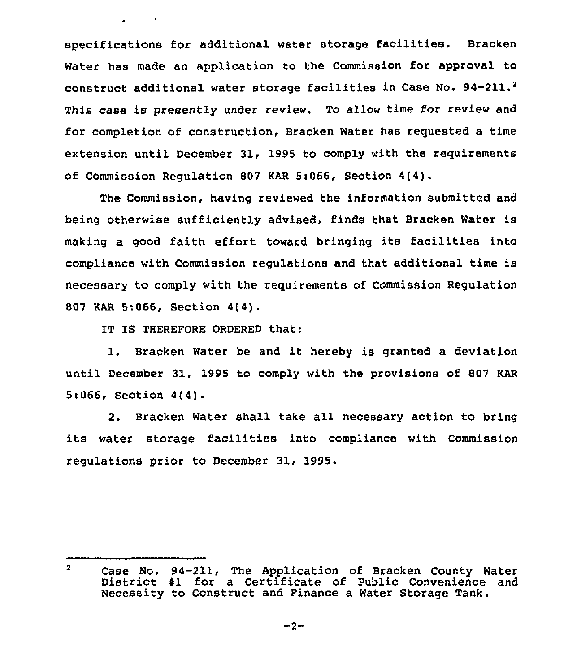specifications for additional water storage facilities. Bracken Water has made an application to the Commission for approval to construct additional water storage facilities in Case No. 94-211.<sup>2</sup> This case is presently under review. To allow time for review and for completion of construction, Bracken Water has requested a time extension until December 31, 1995 to comply with the requirements of Commission Regulation 807 KAR 5:066, Section 4(4).

The Commission, having reviewed the information submitted and being otherwise sufficiently advised, finds that Bracken Water is making a good faith effort toward bringing its facilities into compliance with Commission regulations and that additional time is necessary to comply with the reguirements of COmmission Regulation 807 KAR 5:066, Section 4(4).

IT IS THEREFORE ORDERED that:

1. Bracken Water be and it hereby is granted <sup>a</sup> deviation until December 31, 1995 to comply with the provisions of 807 KAR 5:066, Section 4(4).

2. Bracken Water shall take all necessary action to bring its water storage facilities into compliance with Commission regulations prior to December 31, 1995.

 $\overline{2}$ Case No. 94-211, The Application of Bracken County Water District <sup>41</sup> for <sup>a</sup> Certificate of Public Convenience and Necessity to Construct and Finance a Water Storage Tank.